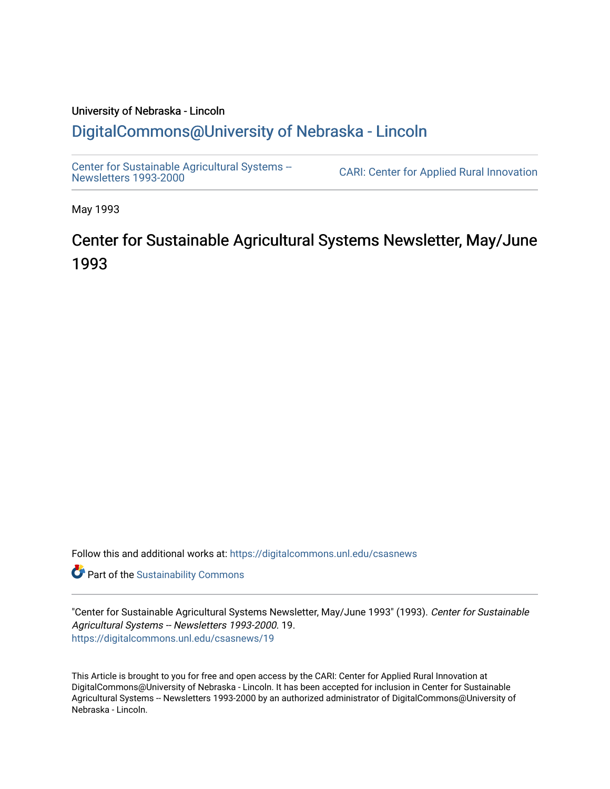# University of Nebraska - Lincoln [DigitalCommons@University of Nebraska - Lincoln](https://digitalcommons.unl.edu/)

[Center for Sustainable Agricultural Systems --](https://digitalcommons.unl.edu/csasnews)<br>Newsletters 1993-2000

CARI: Center for Applied Rural Innovation

May 1993

# Center for Sustainable Agricultural Systems Newsletter, May/June 1993

Follow this and additional works at: [https://digitalcommons.unl.edu/csasnews](https://digitalcommons.unl.edu/csasnews?utm_source=digitalcommons.unl.edu%2Fcsasnews%2F19&utm_medium=PDF&utm_campaign=PDFCoverPages) 

**Part of the [Sustainability Commons](http://network.bepress.com/hgg/discipline/1031?utm_source=digitalcommons.unl.edu%2Fcsasnews%2F19&utm_medium=PDF&utm_campaign=PDFCoverPages)** 

"Center for Sustainable Agricultural Systems Newsletter, May/June 1993" (1993). Center for Sustainable Agricultural Systems -- Newsletters 1993-2000. 19. [https://digitalcommons.unl.edu/csasnews/19](https://digitalcommons.unl.edu/csasnews/19?utm_source=digitalcommons.unl.edu%2Fcsasnews%2F19&utm_medium=PDF&utm_campaign=PDFCoverPages) 

This Article is brought to you for free and open access by the CARI: Center for Applied Rural Innovation at DigitalCommons@University of Nebraska - Lincoln. It has been accepted for inclusion in Center for Sustainable Agricultural Systems -- Newsletters 1993-2000 by an authorized administrator of DigitalCommons@University of Nebraska - Lincoln.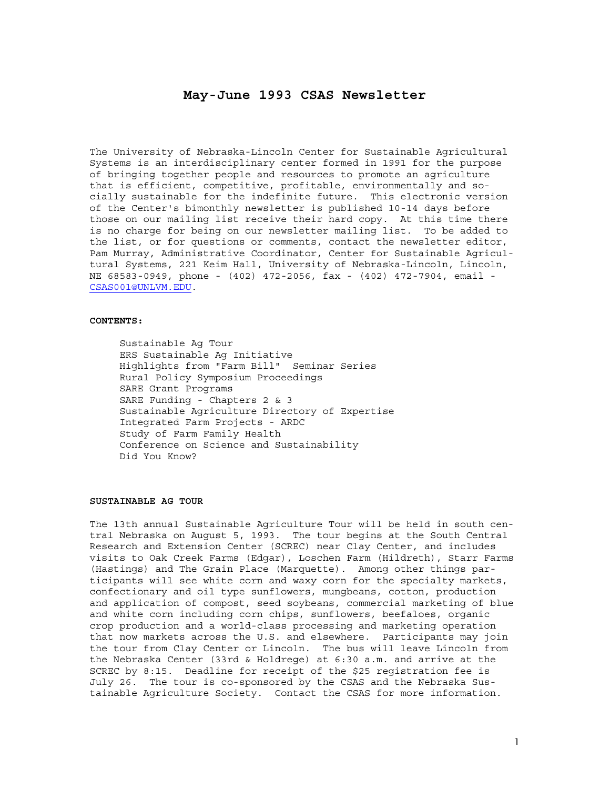# **May-June 1993 CSAS Newsletter**

The University of Nebraska-Lincoln Center for Sustainable Agricultural Systems is an interdisciplinary center formed in 1991 for the purpose of bringing together people and resources to promote an agriculture that is efficient, competitive, profitable, environmentally and socially sustainable for the indefinite future. This electronic version of the Center's bimonthly newsletter is published 10-14 days before those on our mailing list receive their hard copy. At this time there is no charge for being on our newsletter mailing list. To be added to the list, or for questions or comments, contact the newsletter editor, Pam Murray, Administrative Coordinator, Center for Sustainable Agricultural Systems, 221 Keim Hall, University of Nebraska-Lincoln, Lincoln, NE 68583-0949, phone - (402) 472-2056, fax - (402) 472-7904, email - CSAS001@UNLVM.EDU.

#### **CONTENTS:**

 Sustainable Ag Tour ERS Sustainable Ag Initiative Highlights from "Farm Bill" Seminar Series Rural Policy Symposium Proceedings SARE Grant Programs SARE Funding - Chapters 2 & 3 Sustainable Agriculture Directory of Expertise Integrated Farm Projects - ARDC Study of Farm Family Health Conference on Science and Sustainability Did You Know?

#### **SUSTAINABLE AG TOUR**

The 13th annual Sustainable Agriculture Tour will be held in south central Nebraska on August 5, 1993. The tour begins at the South Central Research and Extension Center (SCREC) near Clay Center, and includes visits to Oak Creek Farms (Edgar), Loschen Farm (Hildreth), Starr Farms (Hastings) and The Grain Place (Marquette). Among other things participants will see white corn and waxy corn for the specialty markets, confectionary and oil type sunflowers, mungbeans, cotton, production and application of compost, seed soybeans, commercial marketing of blue and white corn including corn chips, sunflowers, beefaloes, organic crop production and a world-class processing and marketing operation that now markets across the U.S. and elsewhere. Participants may join the tour from Clay Center or Lincoln. The bus will leave Lincoln from the Nebraska Center (33rd & Holdrege) at 6:30 a.m. and arrive at the SCREC by 8:15. Deadline for receipt of the \$25 registration fee is July 26. The tour is co-sponsored by the CSAS and the Nebraska Sustainable Agriculture Society. Contact the CSAS for more information.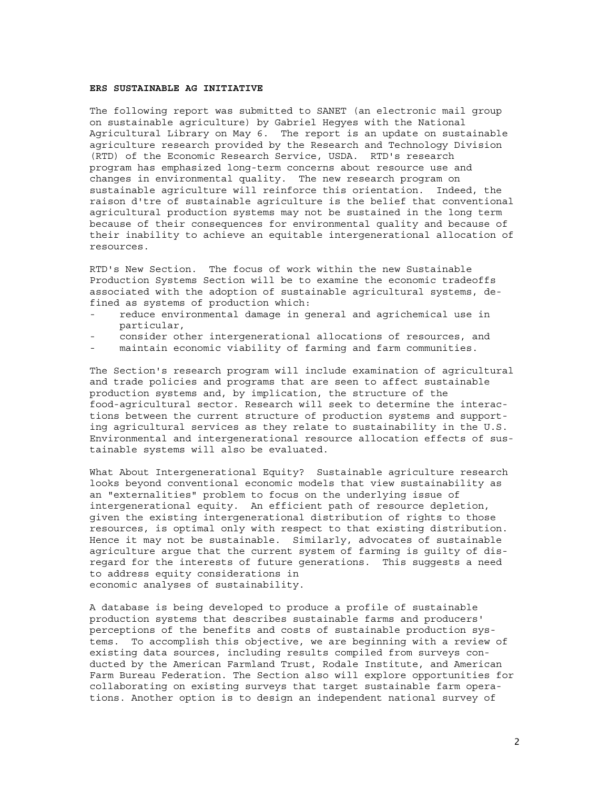# **ERS SUSTAINABLE AG INITIATIVE**

The following report was submitted to SANET (an electronic mail group on sustainable agriculture) by Gabriel Hegyes with the National Agricultural Library on May 6. The report is an update on sustainable agriculture research provided by the Research and Technology Division (RTD) of the Economic Research Service, USDA. RTD's research program has emphasized long-term concerns about resource use and changes in environmental quality. The new research program on sustainable agriculture will reinforce this orientation. Indeed, the raison d'tre of sustainable agriculture is the belief that conventional agricultural production systems may not be sustained in the long term because of their consequences for environmental quality and because of their inability to achieve an equitable intergenerational allocation of resources.

RTD's New Section. The focus of work within the new Sustainable Production Systems Section will be to examine the economic tradeoffs associated with the adoption of sustainable agricultural systems, defined as systems of production which:

- reduce environmental damage in general and agrichemical use in particular,
- consider other intergenerational allocations of resources, and
- maintain economic viability of farming and farm communities.

The Section's research program will include examination of agricultural and trade policies and programs that are seen to affect sustainable production systems and, by implication, the structure of the food-agricultural sector. Research will seek to determine the interactions between the current structure of production systems and supporting agricultural services as they relate to sustainability in the U.S. Environmental and intergenerational resource allocation effects of sustainable systems will also be evaluated.

What About Intergenerational Equity? Sustainable agriculture research looks beyond conventional economic models that view sustainability as an "externalities" problem to focus on the underlying issue of intergenerational equity. An efficient path of resource depletion, given the existing intergenerational distribution of rights to those resources, is optimal only with respect to that existing distribution. Hence it may not be sustainable. Similarly, advocates of sustainable agriculture argue that the current system of farming is guilty of disregard for the interests of future generations. This suggests a need to address equity considerations in economic analyses of sustainability.

A database is being developed to produce a profile of sustainable production systems that describes sustainable farms and producers' perceptions of the benefits and costs of sustainable production systems. To accomplish this objective, we are beginning with a review of existing data sources, including results compiled from surveys conducted by the American Farmland Trust, Rodale Institute, and American Farm Bureau Federation. The Section also will explore opportunities for collaborating on existing surveys that target sustainable farm operations. Another option is to design an independent national survey of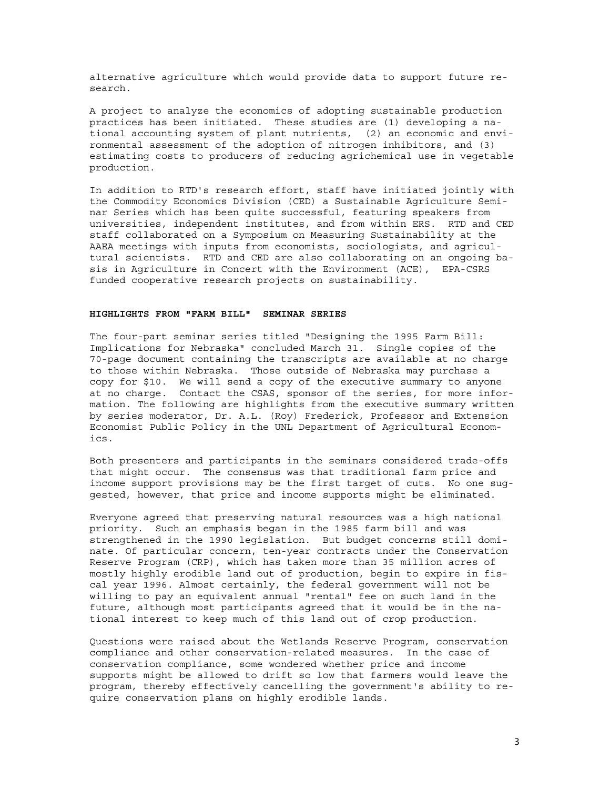alternative agriculture which would provide data to support future research.

A project to analyze the economics of adopting sustainable production practices has been initiated. These studies are (1) developing a national accounting system of plant nutrients, (2) an economic and environmental assessment of the adoption of nitrogen inhibitors, and (3) estimating costs to producers of reducing agrichemical use in vegetable production.

In addition to RTD's research effort, staff have initiated jointly with the Commodity Economics Division (CED) a Sustainable Agriculture Seminar Series which has been quite successful, featuring speakers from universities, independent institutes, and from within ERS. RTD and CED staff collaborated on a Symposium on Measuring Sustainability at the AAEA meetings with inputs from economists, sociologists, and agricultural scientists. RTD and CED are also collaborating on an ongoing basis in Agriculture in Concert with the Environment (ACE), EPA-CSRS funded cooperative research projects on sustainability.

#### **HIGHLIGHTS FROM "FARM BILL" SEMINAR SERIES**

The four-part seminar series titled "Designing the 1995 Farm Bill: Implications for Nebraska" concluded March 31. Single copies of the 70-page document containing the transcripts are available at no charge to those within Nebraska. Those outside of Nebraska may purchase a copy for \$10. We will send a copy of the executive summary to anyone at no charge. Contact the CSAS, sponsor of the series, for more information. The following are highlights from the executive summary written by series moderator, Dr. A.L. (Roy) Frederick, Professor and Extension Economist Public Policy in the UNL Department of Agricultural Economics.

Both presenters and participants in the seminars considered trade-offs that might occur. The consensus was that traditional farm price and income support provisions may be the first target of cuts. No one suggested, however, that price and income supports might be eliminated.

Everyone agreed that preserving natural resources was a high national priority. Such an emphasis began in the 1985 farm bill and was strengthened in the 1990 legislation. But budget concerns still dominate. Of particular concern, ten-year contracts under the Conservation Reserve Program (CRP), which has taken more than 35 million acres of mostly highly erodible land out of production, begin to expire in fiscal year 1996. Almost certainly, the federal government will not be willing to pay an equivalent annual "rental" fee on such land in the future, although most participants agreed that it would be in the national interest to keep much of this land out of crop production.

Questions were raised about the Wetlands Reserve Program, conservation compliance and other conservation-related measures. In the case of conservation compliance, some wondered whether price and income supports might be allowed to drift so low that farmers would leave the program, thereby effectively cancelling the government's ability to require conservation plans on highly erodible lands.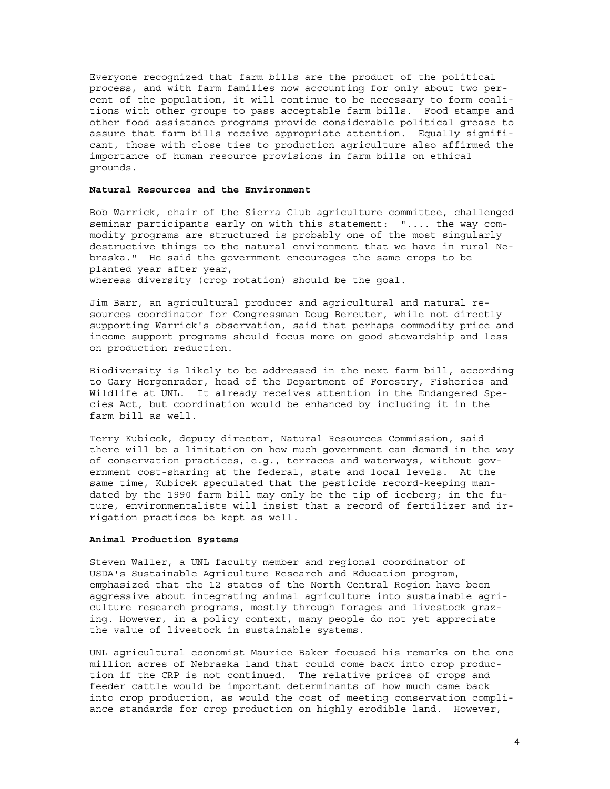Everyone recognized that farm bills are the product of the political process, and with farm families now accounting for only about two percent of the population, it will continue to be necessary to form coalitions with other groups to pass acceptable farm bills. Food stamps and other food assistance programs provide considerable political grease to assure that farm bills receive appropriate attention. Equally significant, those with close ties to production agriculture also affirmed the importance of human resource provisions in farm bills on ethical grounds.

#### **Natural Resources and the Environment**

Bob Warrick, chair of the Sierra Club agriculture committee, challenged seminar participants early on with this statement: ".... the way commodity programs are structured is probably one of the most singularly destructive things to the natural environment that we have in rural Nebraska." He said the government encourages the same crops to be planted year after year, whereas diversity (crop rotation) should be the goal.

Jim Barr, an agricultural producer and agricultural and natural resources coordinator for Congressman Doug Bereuter, while not directly supporting Warrick's observation, said that perhaps commodity price and income support programs should focus more on good stewardship and less on production reduction.

Biodiversity is likely to be addressed in the next farm bill, according to Gary Hergenrader, head of the Department of Forestry, Fisheries and Wildlife at UNL. It already receives attention in the Endangered Species Act, but coordination would be enhanced by including it in the farm bill as well.

Terry Kubicek, deputy director, Natural Resources Commission, said there will be a limitation on how much government can demand in the way of conservation practices, e.g., terraces and waterways, without government cost-sharing at the federal, state and local levels. At the same time, Kubicek speculated that the pesticide record-keeping mandated by the 1990 farm bill may only be the tip of iceberg; in the future, environmentalists will insist that a record of fertilizer and irrigation practices be kept as well.

#### **Animal Production Systems**

Steven Waller, a UNL faculty member and regional coordinator of USDA's Sustainable Agriculture Research and Education program, emphasized that the 12 states of the North Central Region have been aggressive about integrating animal agriculture into sustainable agriculture research programs, mostly through forages and livestock grazing. However, in a policy context, many people do not yet appreciate the value of livestock in sustainable systems.

UNL agricultural economist Maurice Baker focused his remarks on the one million acres of Nebraska land that could come back into crop production if the CRP is not continued. The relative prices of crops and feeder cattle would be important determinants of how much came back into crop production, as would the cost of meeting conservation compliance standards for crop production on highly erodible land. However,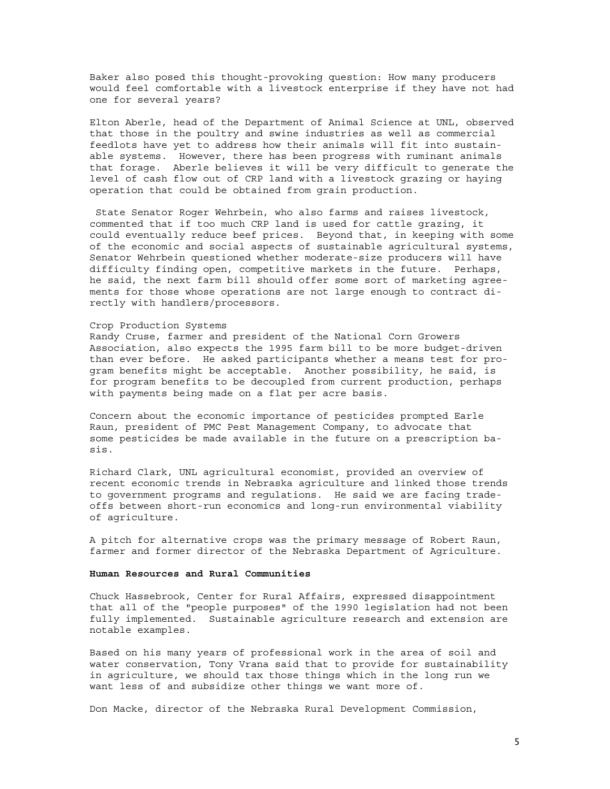Baker also posed this thought-provoking question: How many producers would feel comfortable with a livestock enterprise if they have not had one for several years?

Elton Aberle, head of the Department of Animal Science at UNL, observed that those in the poultry and swine industries as well as commercial feedlots have yet to address how their animals will fit into sustainable systems. However, there has been progress with ruminant animals that forage. Aberle believes it will be very difficult to generate the level of cash flow out of CRP land with a livestock grazing or haying operation that could be obtained from grain production.

 State Senator Roger Wehrbein, who also farms and raises livestock, commented that if too much CRP land is used for cattle grazing, it could eventually reduce beef prices. Beyond that, in keeping with some of the economic and social aspects of sustainable agricultural systems, Senator Wehrbein questioned whether moderate-size producers will have difficulty finding open, competitive markets in the future. Perhaps, he said, the next farm bill should offer some sort of marketing agreements for those whose operations are not large enough to contract directly with handlers/processors.

#### Crop Production Systems

Randy Cruse, farmer and president of the National Corn Growers Association, also expects the 1995 farm bill to be more budget-driven than ever before. He asked participants whether a means test for program benefits might be acceptable. Another possibility, he said, is for program benefits to be decoupled from current production, perhaps with payments being made on a flat per acre basis.

Concern about the economic importance of pesticides prompted Earle Raun, president of PMC Pest Management Company, to advocate that some pesticides be made available in the future on a prescription basis.

Richard Clark, UNL agricultural economist, provided an overview of recent economic trends in Nebraska agriculture and linked those trends to government programs and regulations. He said we are facing tradeoffs between short-run economics and long-run environmental viability of agriculture.

A pitch for alternative crops was the primary message of Robert Raun, farmer and former director of the Nebraska Department of Agriculture.

#### **Human Resources and Rural Communities**

Chuck Hassebrook, Center for Rural Affairs, expressed disappointment that all of the "people purposes" of the 1990 legislation had not been fully implemented. Sustainable agriculture research and extension are notable examples.

Based on his many years of professional work in the area of soil and water conservation, Tony Vrana said that to provide for sustainability in agriculture, we should tax those things which in the long run we want less of and subsidize other things we want more of.

Don Macke, director of the Nebraska Rural Development Commission,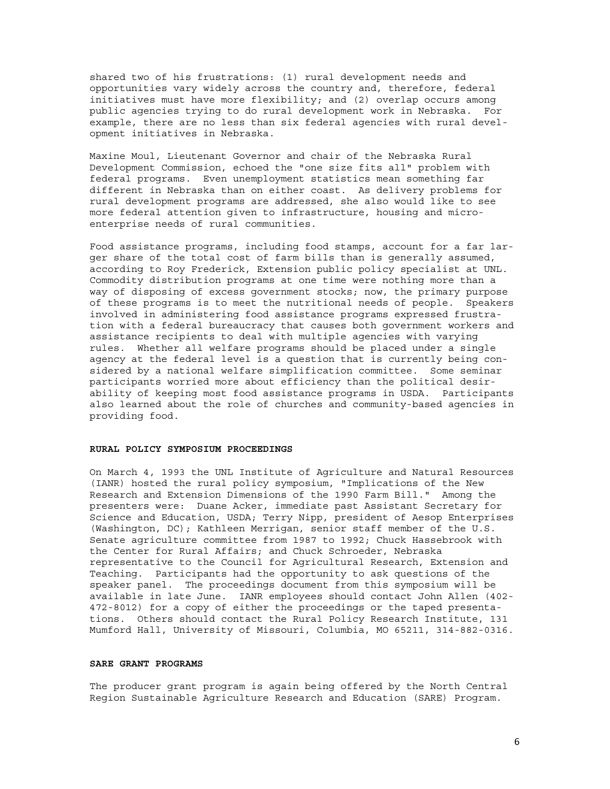shared two of his frustrations: (1) rural development needs and opportunities vary widely across the country and, therefore, federal initiatives must have more flexibility; and (2) overlap occurs among public agencies trying to do rural development work in Nebraska. For example, there are no less than six federal agencies with rural development initiatives in Nebraska.

Maxine Moul, Lieutenant Governor and chair of the Nebraska Rural Development Commission, echoed the "one size fits all" problem with federal programs. Even unemployment statistics mean something far different in Nebraska than on either coast. As delivery problems for rural development programs are addressed, she also would like to see more federal attention given to infrastructure, housing and microenterprise needs of rural communities.

Food assistance programs, including food stamps, account for a far larger share of the total cost of farm bills than is generally assumed, according to Roy Frederick, Extension public policy specialist at UNL. Commodity distribution programs at one time were nothing more than a way of disposing of excess government stocks; now, the primary purpose of these programs is to meet the nutritional needs of people. Speakers involved in administering food assistance programs expressed frustration with a federal bureaucracy that causes both government workers and assistance recipients to deal with multiple agencies with varying rules. Whether all welfare programs should be placed under a single agency at the federal level is a question that is currently being considered by a national welfare simplification committee. Some seminar participants worried more about efficiency than the political desirability of keeping most food assistance programs in USDA. Participants also learned about the role of churches and community-based agencies in providing food.

# **RURAL POLICY SYMPOSIUM PROCEEDINGS**

On March 4, 1993 the UNL Institute of Agriculture and Natural Resources (IANR) hosted the rural policy symposium, "Implications of the New Research and Extension Dimensions of the 1990 Farm Bill." Among the presenters were: Duane Acker, immediate past Assistant Secretary for Science and Education, USDA; Terry Nipp, president of Aesop Enterprises (Washington, DC); Kathleen Merrigan, senior staff member of the U.S. Senate agriculture committee from 1987 to 1992; Chuck Hassebrook with the Center for Rural Affairs; and Chuck Schroeder, Nebraska representative to the Council for Agricultural Research, Extension and Teaching. Participants had the opportunity to ask questions of the speaker panel. The proceedings document from this symposium will be available in late June. IANR employees should contact John Allen (402- 472-8012) for a copy of either the proceedings or the taped presentations. Others should contact the Rural Policy Research Institute, 131 Mumford Hall, University of Missouri, Columbia, MO 65211, 314-882-0316.

# **SARE GRANT PROGRAMS**

The producer grant program is again being offered by the North Central Region Sustainable Agriculture Research and Education (SARE) Program.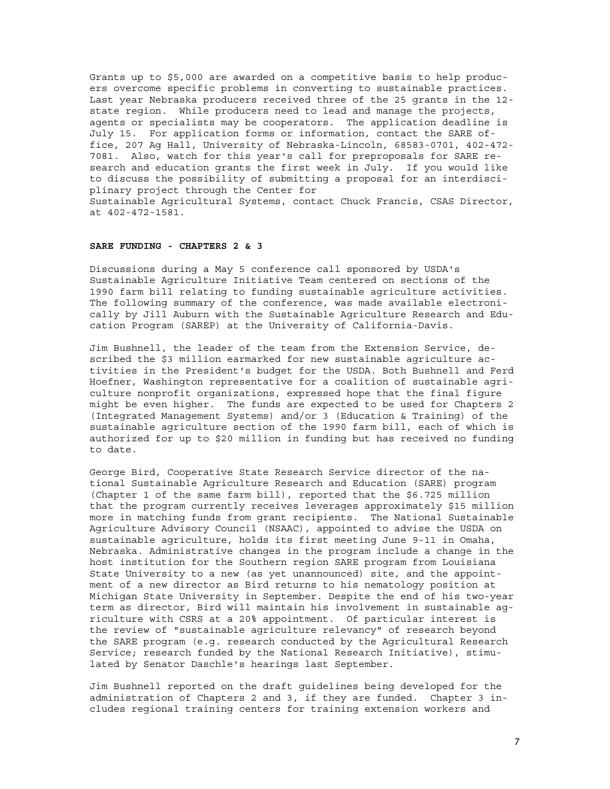Grants up to \$5,000 are awarded on a competitive basis to help producers overcome specific problems in converting to sustainable practices. Last year Nebraska producers received three of the 25 grants in the 12 state region. While producers need to lead and manage the projects, agents or specialists may be cooperators. The application deadline is July 15. For application forms or information, contact the SARE office, 207 Ag Hall, University of Nebraska-Lincoln, 68583-0701, 402-472- 7081. Also, watch for this year's call for preproposals for SARE research and education grants the first week in July. If you would like to discuss the possibility of submitting a proposal for an interdisciplinary project through the Center for Sustainable Agricultural Systems, contact Chuck Francis, CSAS Director,

### **SARE FUNDING - CHAPTERS 2 & 3**

at 402-472-1581.

Discussions during a May 5 conference call sponsored by USDA's Sustainable Agriculture Initiative Team centered on sections of the 1990 farm bill relating to funding sustainable agriculture activities. The following summary of the conference, was made available electronically by Jill Auburn with the Sustainable Agriculture Research and Education Program (SAREP) at the University of California-Davis.

Jim Bushnell, the leader of the team from the Extension Service, described the \$3 million earmarked for new sustainable agriculture activities in the President's budget for the USDA. Both Bushnell and Ferd Hoefner, Washington representative for a coalition of sustainable agriculture nonprofit organizations, expressed hope that the final figure might be even higher. The funds are expected to be used for Chapters 2 (Integrated Management Systems) and/or 3 (Education & Training) of the sustainable agriculture section of the 1990 farm bill, each of which is authorized for up to \$20 million in funding but has received no funding to date.

George Bird, Cooperative State Research Service director of the national Sustainable Agriculture Research and Education (SARE) program (Chapter 1 of the same farm bill), reported that the \$6.725 million that the program currently receives leverages approximately \$15 million more in matching funds from grant recipients. The National Sustainable Agriculture Advisory Council (NSAAC), appointed to advise the USDA on sustainable agriculture, holds its first meeting June 9-11 in Omaha, Nebraska. Administrative changes in the program include a change in the host institution for the Southern region SARE program from Louisiana State University to a new (as yet unannounced) site, and the appointment of a new director as Bird returns to his nematology position at Michigan State University in September. Despite the end of his two-year term as director, Bird will maintain his involvement in sustainable agriculture with CSRS at a 20% appointment. Of particular interest is the review of "sustainable agriculture relevancy" of research beyond the SARE program (e.g. research conducted by the Agricultural Research Service; research funded by the National Research Initiative), stimulated by Senator Daschle's hearings last September.

Jim Bushnell reported on the draft guidelines being developed for the administration of Chapters 2 and 3, if they are funded. Chapter 3 includes regional training centers for training extension workers and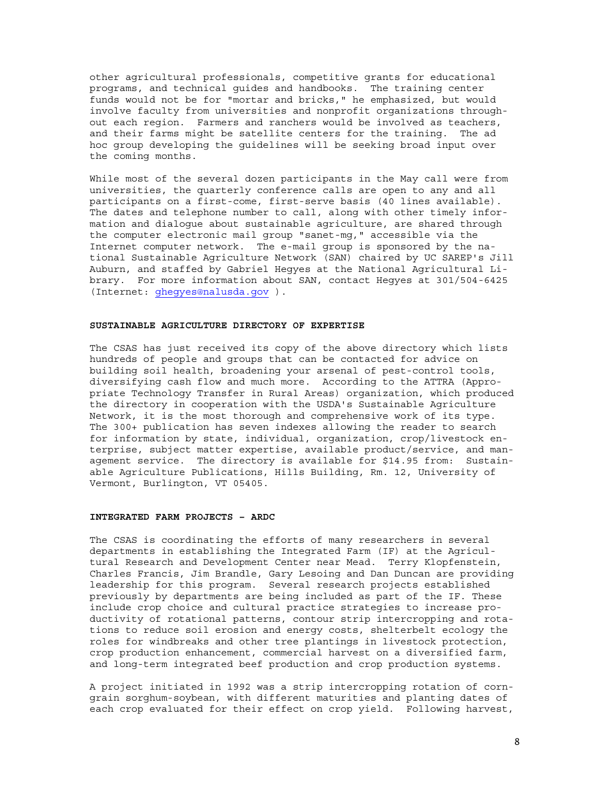other agricultural professionals, competitive grants for educational programs, and technical guides and handbooks. The training center funds would not be for "mortar and bricks," he emphasized, but would involve faculty from universities and nonprofit organizations throughout each region. Farmers and ranchers would be involved as teachers, and their farms might be satellite centers for the training. The ad hoc group developing the guidelines will be seeking broad input over the coming months.

While most of the several dozen participants in the May call were from universities, the quarterly conference calls are open to any and all participants on a first-come, first-serve basis (40 lines available). The dates and telephone number to call, along with other timely information and dialogue about sustainable agriculture, are shared through the computer electronic mail group "sanet-mg," accessible via the Internet computer network. The e-mail group is sponsored by the national Sustainable Agriculture Network (SAN) chaired by UC SAREP's Jill Auburn, and staffed by Gabriel Hegyes at the National Agricultural Library. For more information about SAN, contact Hegyes at 301/504-6425 (Internet: ghegyes@nalusda.gov ).

# **SUSTAINABLE AGRICULTURE DIRECTORY OF EXPERTISE**

The CSAS has just received its copy of the above directory which lists hundreds of people and groups that can be contacted for advice on building soil health, broadening your arsenal of pest-control tools, diversifying cash flow and much more. According to the ATTRA (Appropriate Technology Transfer in Rural Areas) organization, which produced the directory in cooperation with the USDA's Sustainable Agriculture Network, it is the most thorough and comprehensive work of its type. The 300+ publication has seven indexes allowing the reader to search for information by state, individual, organization, crop/livestock enterprise, subject matter expertise, available product/service, and management service. The directory is available for \$14.95 from: Sustainable Agriculture Publications, Hills Building, Rm. 12, University of Vermont, Burlington, VT 05405.

# **INTEGRATED FARM PROJECTS – ARDC**

The CSAS is coordinating the efforts of many researchers in several departments in establishing the Integrated Farm (IF) at the Agricultural Research and Development Center near Mead. Terry Klopfenstein, Charles Francis, Jim Brandle, Gary Lesoing and Dan Duncan are providing leadership for this program. Several research projects established previously by departments are being included as part of the IF. These include crop choice and cultural practice strategies to increase productivity of rotational patterns, contour strip intercropping and rotations to reduce soil erosion and energy costs, shelterbelt ecology the roles for windbreaks and other tree plantings in livestock protection, crop production enhancement, commercial harvest on a diversified farm, and long-term integrated beef production and crop production systems.

A project initiated in 1992 was a strip intercropping rotation of corngrain sorghum-soybean, with different maturities and planting dates of each crop evaluated for their effect on crop yield. Following harvest,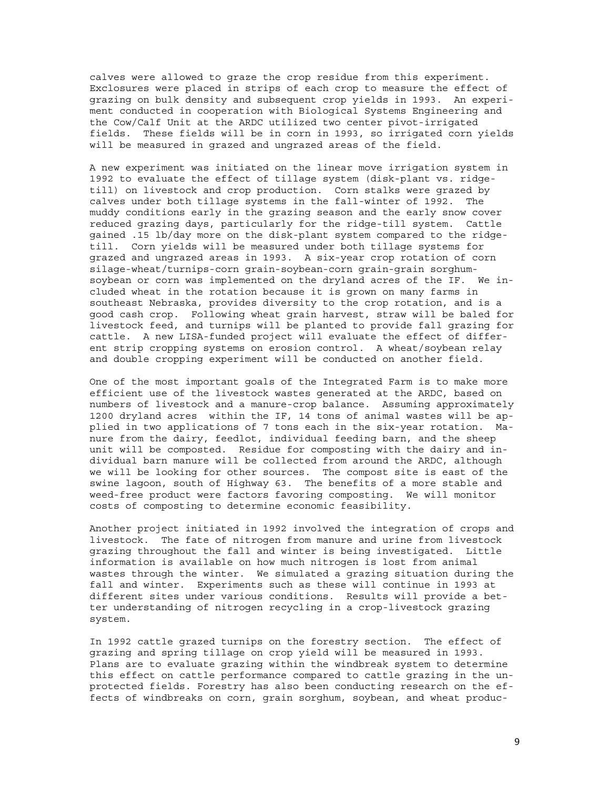calves were allowed to graze the crop residue from this experiment. Exclosures were placed in strips of each crop to measure the effect of grazing on bulk density and subsequent crop yields in 1993. An experiment conducted in cooperation with Biological Systems Engineering and the Cow/Calf Unit at the ARDC utilized two center pivot-irrigated fields. These fields will be in corn in 1993, so irrigated corn yields will be measured in grazed and ungrazed areas of the field.

A new experiment was initiated on the linear move irrigation system in 1992 to evaluate the effect of tillage system (disk-plant vs. ridgetill) on livestock and crop production. Corn stalks were grazed by calves under both tillage systems in the fall-winter of 1992. The muddy conditions early in the grazing season and the early snow cover reduced grazing days, particularly for the ridge-till system. Cattle gained .15 lb/day more on the disk-plant system compared to the ridgetill. Corn yields will be measured under both tillage systems for grazed and ungrazed areas in 1993. A six-year crop rotation of corn silage-wheat/turnips-corn grain-soybean-corn grain-grain sorghumsoybean or corn was implemented on the dryland acres of the IF. We included wheat in the rotation because it is grown on many farms in southeast Nebraska, provides diversity to the crop rotation, and is a good cash crop. Following wheat grain harvest, straw will be baled for livestock feed, and turnips will be planted to provide fall grazing for cattle. A new LISA-funded project will evaluate the effect of different strip cropping systems on erosion control. A wheat/soybean relay and double cropping experiment will be conducted on another field.

One of the most important goals of the Integrated Farm is to make more efficient use of the livestock wastes generated at the ARDC, based on numbers of livestock and a manure-crop balance. Assuming approximately 1200 dryland acres within the IF, 14 tons of animal wastes will be applied in two applications of 7 tons each in the six-year rotation. Manure from the dairy, feedlot, individual feeding barn, and the sheep unit will be composted. Residue for composting with the dairy and individual barn manure will be collected from around the ARDC, although we will be looking for other sources. The compost site is east of the swine lagoon, south of Highway 63. The benefits of a more stable and weed-free product were factors favoring composting. We will monitor costs of composting to determine economic feasibility.

Another project initiated in 1992 involved the integration of crops and livestock. The fate of nitrogen from manure and urine from livestock grazing throughout the fall and winter is being investigated. Little information is available on how much nitrogen is lost from animal wastes through the winter. We simulated a grazing situation during the fall and winter. Experiments such as these will continue in 1993 at different sites under various conditions. Results will provide a better understanding of nitrogen recycling in a crop-livestock grazing system.

In 1992 cattle grazed turnips on the forestry section. The effect of grazing and spring tillage on crop yield will be measured in 1993. Plans are to evaluate grazing within the windbreak system to determine this effect on cattle performance compared to cattle grazing in the unprotected fields. Forestry has also been conducting research on the effects of windbreaks on corn, grain sorghum, soybean, and wheat produc-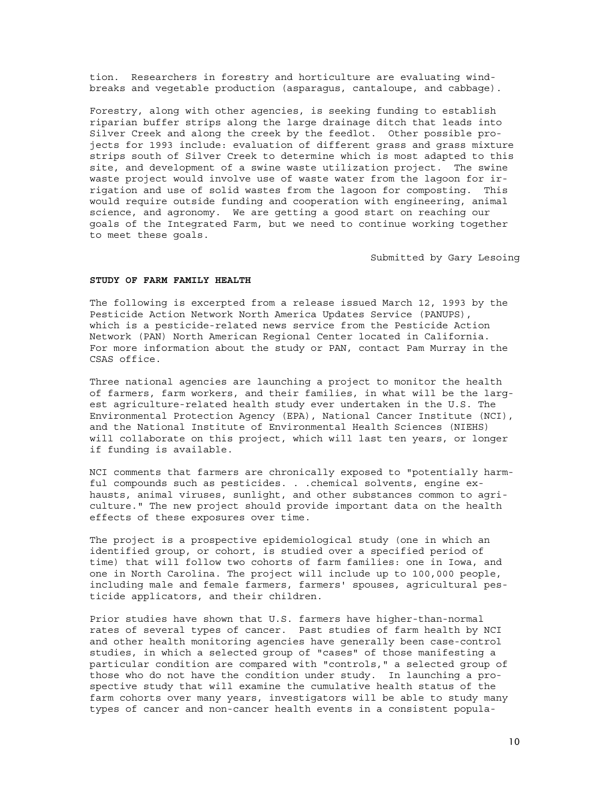tion. Researchers in forestry and horticulture are evaluating windbreaks and vegetable production (asparagus, cantaloupe, and cabbage).

Forestry, along with other agencies, is seeking funding to establish riparian buffer strips along the large drainage ditch that leads into Silver Creek and along the creek by the feedlot. Other possible projects for 1993 include: evaluation of different grass and grass mixture strips south of Silver Creek to determine which is most adapted to this site, and development of a swine waste utilization project. The swine waste project would involve use of waste water from the lagoon for irrigation and use of solid wastes from the lagoon for composting. This would require outside funding and cooperation with engineering, animal science, and agronomy. We are getting a good start on reaching our goals of the Integrated Farm, but we need to continue working together to meet these goals.

Submitted by Gary Lesoing

# **STUDY OF FARM FAMILY HEALTH**

The following is excerpted from a release issued March 12, 1993 by the Pesticide Action Network North America Updates Service (PANUPS), which is a pesticide-related news service from the Pesticide Action Network (PAN) North American Regional Center located in California. For more information about the study or PAN, contact Pam Murray in the CSAS office.

Three national agencies are launching a project to monitor the health of farmers, farm workers, and their families, in what will be the largest agriculture-related health study ever undertaken in the U.S. The Environmental Protection Agency (EPA), National Cancer Institute (NCI), and the National Institute of Environmental Health Sciences (NIEHS) will collaborate on this project, which will last ten years, or longer if funding is available.

NCI comments that farmers are chronically exposed to "potentially harmful compounds such as pesticides. . .chemical solvents, engine exhausts, animal viruses, sunlight, and other substances common to agriculture." The new project should provide important data on the health effects of these exposures over time.

The project is a prospective epidemiological study (one in which an identified group, or cohort, is studied over a specified period of time) that will follow two cohorts of farm families: one in Iowa, and one in North Carolina. The project will include up to 100,000 people, including male and female farmers, farmers' spouses, agricultural pesticide applicators, and their children.

Prior studies have shown that U.S. farmers have higher-than-normal rates of several types of cancer. Past studies of farm health by NCI and other health monitoring agencies have generally been case-control studies, in which a selected group of "cases" of those manifesting a particular condition are compared with "controls," a selected group of those who do not have the condition under study. In launching a prospective study that will examine the cumulative health status of the farm cohorts over many years, investigators will be able to study many types of cancer and non-cancer health events in a consistent popula